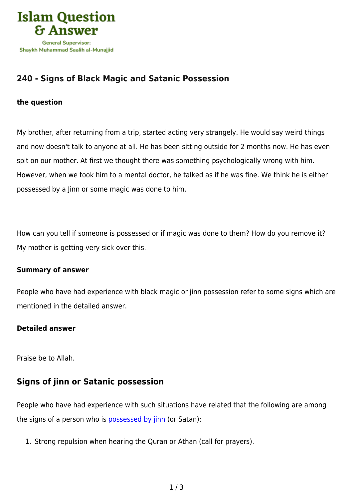

# **[240 - Signs of Black Magic and Satanic Possession](https://islamqa.info/en/answers/240/signs-of-black-magic-and-satanic-possession)**

#### **the question**

My brother, after returning from a trip, started acting very strangely. He would say weird things and now doesn't talk to anyone at all. He has been sitting outside for 2 months now. He has even spit on our mother. At first we thought there was something psychologically wrong with him. However, when we took him to a mental doctor, he talked as if he was fine. We think he is either possessed by a Jinn or some magic was done to him.

How can you tell if someone is possessed or if magic was done to them? How do you remove it? My mother is getting very sick over this.

#### **Summary of answer**

People who have had experience with black magic or jinn possession refer to some signs which are mentioned in the detailed answer.

#### **Detailed answer**

Praise be to Allah.

### **Signs of jinn or Satanic possession**

People who have had experience with such situations have related that the following are among the signs of a person who is [possessed by jinn](https://islamqa.info/en/answers/73412) (or Satan):

1. Strong repulsion when hearing the Quran or Athan (call for prayers).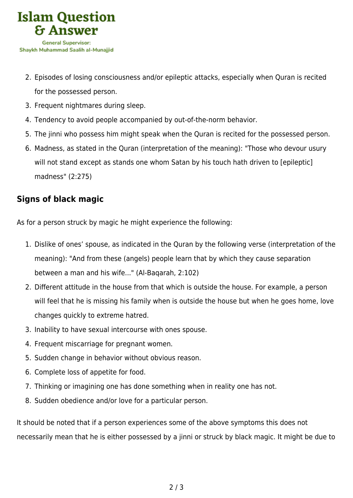

- 2. Episodes of losing consciousness and/or epileptic attacks, especially when Quran is recited for the possessed person.
- 3. Frequent nightmares during sleep.
- 4. Tendency to avoid people accompanied by out-of-the-norm behavior.
- 5. The jinni who possess him might speak when the Quran is recited for the possessed person.
- 6. Madness, as stated in the Quran (interpretation of the meaning): "Those who devour usury will not stand except as stands one whom Satan by his touch hath driven to [epileptic] madness" (2:275)

## **Signs of black magic**

As for a person struck by magic he might experience the following:

- 1. Dislike of ones' spouse, as indicated in the Quran by the following verse (interpretation of the meaning): "And from these (angels) people learn that by which they cause separation between a man and his wife..." (Al-Baqarah, 2:102)
- 2. Different attitude in the house from that which is outside the house. For example, a person will feel that he is missing his family when is outside the house but when he goes home, love changes quickly to extreme hatred.
- 3. Inability to have sexual intercourse with ones spouse.
- 4. Frequent miscarriage for pregnant women.
- 5. Sudden change in behavior without obvious reason.
- 6. Complete loss of appetite for food.
- 7. Thinking or imagining one has done something when in reality one has not.
- 8. Sudden obedience and/or love for a particular person.

It should be noted that if a person experiences some of the above symptoms this does not necessarily mean that he is either possessed by a jinni or struck by black magic. It might be due to